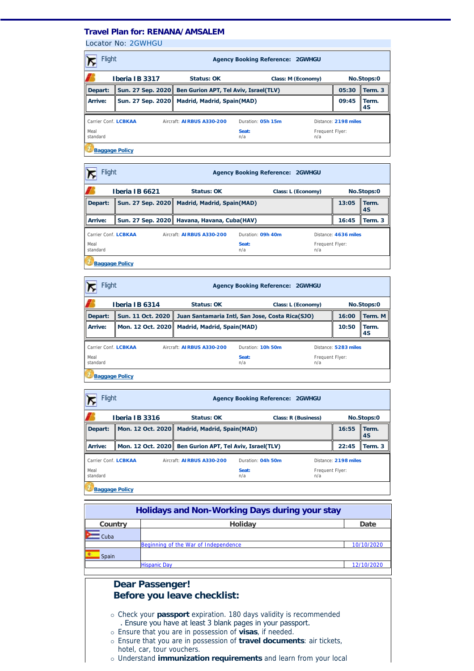## **Travel Plan for: RENANA/AMSALEM**

Locator No: [2GWHGU](http://travel-management:7777/PassengersInPnr.aspx?pnr=2GWHGU&past=True&name=&office=&update=False&provider=WORLDSPAN&format=MjQgSG91cg==&brand=2&menu=False&fromversion=0&history=-1)

| <b>Flight</b><br><b>Agency Booking Reference: 2GWHGU</b>                                       |  |                                                |                                                         |                        |       |             |  |
|------------------------------------------------------------------------------------------------|--|------------------------------------------------|---------------------------------------------------------|------------------------|-------|-------------|--|
| Iberia IB 3317<br>Status: OK<br>No.Stops:0<br>Class: M (Economy)                               |  |                                                |                                                         |                        |       |             |  |
| Depart:                                                                                        |  |                                                | Sun. 27 Sep. 2020 Ben Gurion APT, Tel Aviv, Israel(TLV) |                        |       | Term. 3     |  |
| Arrive:                                                                                        |  | Sun. 27 Sep. 2020   Madrid, Madrid, Spain(MAD) |                                                         |                        | 09:45 | Term.<br>4S |  |
| Carrier Conf. LCBKAA<br>Aircraft: AIRBUS A330-200<br>Duration: 05h 15m<br>Distance: 2198 miles |  |                                                |                                                         |                        |       |             |  |
| Meal<br>standard                                                                               |  |                                                | Seat:<br>n/a                                            | Frequent Flyer:<br>n/a |       |             |  |
| <b>Baggage Policy</b>                                                                          |  |                                                |                                                         |                        |       |             |  |

| <b>Flight</b><br><b>Agency Booking Reference: 2GWHGU</b> |                                                                                                |                                               |              |                    |                 |                |
|----------------------------------------------------------|------------------------------------------------------------------------------------------------|-----------------------------------------------|--------------|--------------------|-----------------|----------------|
|                                                          | Iberia IB 6621                                                                                 | Status: OK                                    |              | Class: L (Economy) |                 | No.Stops:0     |
| Depart:                                                  | Sun. 27 Sep. 2020                                                                              | <b>Madrid, Madrid, Spain(MAD)</b>             |              |                    | 13:05           | Il Term.<br>4S |
| Arrive:                                                  |                                                                                                | Sun. 27 Sep. 2020   Havana, Havana, Cuba(HAV) |              |                    | 16:45           | Term. 3        |
|                                                          | Carrier Conf. LCBKAA<br>Duration: 09h 40m<br>Aircraft: AIRBUS A330-200<br>Distance: 4636 miles |                                               |              |                    |                 |                |
| Meal<br>standard                                         |                                                                                                |                                               | Seat:<br>n/a | n/a                | Frequent Flyer: |                |
| <b>Baggage Policy</b>                                    |                                                                                                |                                               |              |                    |                 |                |

| Flight<br><b>Agency Booking Reference: 2GWHGU</b>                                              |                   |                                              |                                                 |                        |            |               |
|------------------------------------------------------------------------------------------------|-------------------|----------------------------------------------|-------------------------------------------------|------------------------|------------|---------------|
| Iberia IB 6314<br>Status: OK<br>Class: L (Economy)                                             |                   |                                              |                                                 |                        | No.Stops:0 |               |
| Depart:                                                                                        | Sun. 11 Oct. 2020 |                                              | Juan Santamaria Intl, San Jose, Costa Rica(SJO) |                        |            | Term. M       |
| Arrive:                                                                                        |                   | Mon. 12 Oct. 2020 Madrid, Madrid, Spain(MAD) |                                                 |                        | 10:50      | l Term.<br>4S |
| Carrier Conf. LCBKAA<br>Aircraft: AIRBUS A330-200<br>Duration: 10h 50m<br>Distance: 5283 miles |                   |                                              |                                                 |                        |            |               |
| Meal<br>standard                                                                               |                   |                                              | Seat:<br>n/a                                    | Frequent Flyer:<br>n/a |            |               |
| <b>Baggage Policy</b>                                                                          |                   |                                              |                                                 |                        |            |               |

| Flight<br><b>Agency Booking Reference: 2GWHGU</b>                                              |                   |                                       |              |                        |            |                |
|------------------------------------------------------------------------------------------------|-------------------|---------------------------------------|--------------|------------------------|------------|----------------|
| Iberia IB 3316<br>Status: OK<br>Class: R (Business)                                            |                   |                                       |              |                        | No.Stops:0 |                |
| Depart:                                                                                        | Mon. 12 Oct. 2020 | <b>Madrid, Madrid, Spain(MAD)</b>     |              |                        | 16:55      | Il Term.<br>4S |
| Arrive:                                                                                        | Mon. 12 Oct. 2020 | Ben Gurion APT, Tel Aviv, Israel(TLV) |              |                        | 22:45      | Term. 3        |
| Carrier Conf. LCBKAA<br>Aircraft: AIRBUS A330-200<br>Duration: 04h 50m<br>Distance: 2198 miles |                   |                                       |              |                        |            |                |
| Meal<br>standard                                                                               |                   |                                       | Seat:<br>n/a | Frequent Flyer:<br>n/a |            |                |
| <b>Baggage Policy</b>                                                                          |                   |                                       |              |                        |            |                |

| Holidays and Non-Working Days during your stay |                                                                                                                                                                                                                                                                           |            |  |  |  |
|------------------------------------------------|---------------------------------------------------------------------------------------------------------------------------------------------------------------------------------------------------------------------------------------------------------------------------|------------|--|--|--|
| Country                                        | Holidav                                                                                                                                                                                                                                                                   | Date       |  |  |  |
| Cuba                                           |                                                                                                                                                                                                                                                                           |            |  |  |  |
|                                                | Beginning of the War of Independence                                                                                                                                                                                                                                      | 10/10/2020 |  |  |  |
| Spain                                          |                                                                                                                                                                                                                                                                           |            |  |  |  |
|                                                | <b>Hispanic Day</b>                                                                                                                                                                                                                                                       | 12/10/2020 |  |  |  |
|                                                |                                                                                                                                                                                                                                                                           |            |  |  |  |
|                                                | <b>Dear Passenger!</b>                                                                                                                                                                                                                                                    |            |  |  |  |
|                                                | Before you leave checklist:                                                                                                                                                                                                                                               |            |  |  |  |
|                                                |                                                                                                                                                                                                                                                                           |            |  |  |  |
|                                                | o Check your <b>passport</b> expiration. 180 days validity is recommended<br>. Ensure you have at least 3 blank pages in your passport.<br>o Ensure that you are in possession of visas, if needed.<br>Froute that you are in percension of trainal depression of tipicto |            |  |  |  |

- ¡ Ensure that you are in possession of **travel documents**: air tickets, hotel, car, tour vouchers.
- ¡ Understand **immunization requirements** and learn from your local